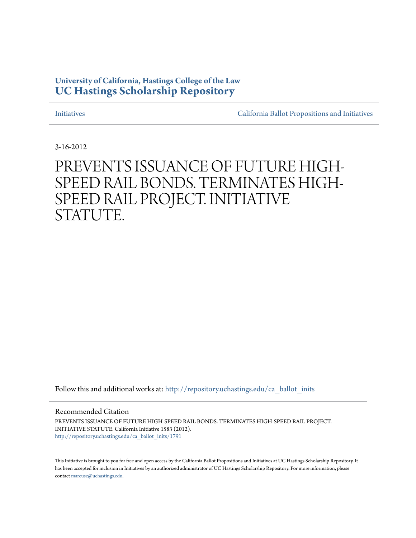# **University of California, Hastings College of the Law [UC Hastings Scholarship Repository](http://repository.uchastings.edu?utm_source=repository.uchastings.edu%2Fca_ballot_inits%2F1791&utm_medium=PDF&utm_campaign=PDFCoverPages)**

[Initiatives](http://repository.uchastings.edu/ca_ballot_inits?utm_source=repository.uchastings.edu%2Fca_ballot_inits%2F1791&utm_medium=PDF&utm_campaign=PDFCoverPages) [California Ballot Propositions and Initiatives](http://repository.uchastings.edu/ca_ballots?utm_source=repository.uchastings.edu%2Fca_ballot_inits%2F1791&utm_medium=PDF&utm_campaign=PDFCoverPages)

3-16-2012

# PREVENTS ISSUANCE OF FUTURE HIGH-SPEED RAIL BONDS. TERMINATES HIGH-SPEED RAIL PROJECT. INITIATIVE STATUTE.

Follow this and additional works at: [http://repository.uchastings.edu/ca\\_ballot\\_inits](http://repository.uchastings.edu/ca_ballot_inits?utm_source=repository.uchastings.edu%2Fca_ballot_inits%2F1791&utm_medium=PDF&utm_campaign=PDFCoverPages)

Recommended Citation

PREVENTS ISSUANCE OF FUTURE HIGH-SPEED RAIL BONDS. TERMINATES HIGH-SPEED RAIL PROJECT. INITIATIVE STATUTE. California Initiative 1583 (2012). [http://repository.uchastings.edu/ca\\_ballot\\_inits/1791](http://repository.uchastings.edu/ca_ballot_inits/1791?utm_source=repository.uchastings.edu%2Fca_ballot_inits%2F1791&utm_medium=PDF&utm_campaign=PDFCoverPages)

This Initiative is brought to you for free and open access by the California Ballot Propositions and Initiatives at UC Hastings Scholarship Repository. It has been accepted for inclusion in Initiatives by an authorized administrator of UC Hastings Scholarship Repository. For more information, please contact [marcusc@uchastings.edu](mailto:marcusc@uchastings.edu).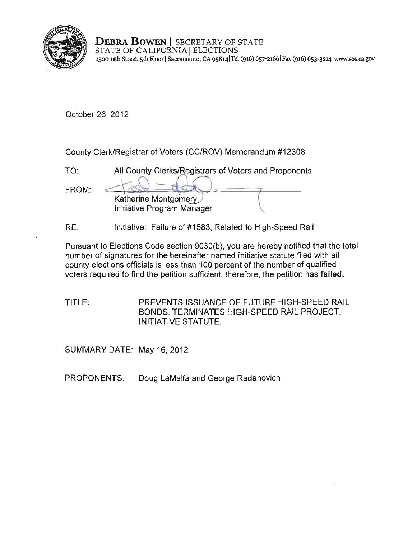

**DEBRA BOWEN** | SECRETARY OF STATE STATE OF CALIFORNIA ELECTIONS **1500 11th Street, 5th Floor ISacramento, CA 9S814 1Tel (916)** 657·21661 Fax (916) **653·3214 lwww.sos.ca.gov** 

October 26, 2012

County Clerk/Registrar of Voters (CC/ROV) Memorandum #12308

| TO <sup>-</sup> | All County Clerks/Registrars of Voters and Proponents |  |
|-----------------|-------------------------------------------------------|--|
| FROM:           |                                                       |  |
|                 | Katherine Montgomery<br>Initiative Program Manager    |  |

RE: Initiative: Failure of #1583, Related to High-Speed Rail

Pursuant to Elections Code section 9030(b), you are hereby notified that the total number of signatures for the hereinafter named initiative statute filed with all county elections officials is less than 100 percent of the number of qualified voters required to find the petition sufficient; therefore, the petition has **failed.** 

TITLE: PREVENTS ISSUANCE OF FUTURE HIGH-SPEED RAIL BONDS. TERMINATES HIGH-SPEED RAIL PROJECT. INITIATIVE STATUTE.

SUMMARY DATE: May 16, 2012

PROPONENTS: Doug LaMalfa and George Radanovich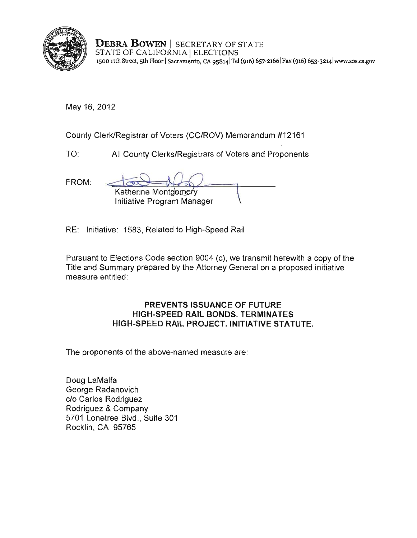

DEBRA BOWEN | SECRETARY OF STATE **DEBRA DOWEN** | BECKETART OF 3<br>STATE OF CALIFORNIA | ELECTIONS <sup>1500</sup>**11th** Street, 5th Floor ISacramento, CA 9S8141TeJ (916) 657-21661 Fax (916) 653-3214 Iwww.sos.ca.gov

May 16, 2012

County Clerk/Registrar of Voters (CC/ROV) Memorandum #12161

TO: All County Clerks/Registrars of Voters and Proponents

FROM:

| ٠ |                            |  |
|---|----------------------------|--|
|   | Katherine Montgomery       |  |
|   | Initiative Program Manager |  |

RE: Initiative: 1583, Related to High-Speed Rail

Pursuant to Elections Code section 9004 (c), we transmit herewith a copy of the Title and Summary prepared by the Attorney General on a proposed initiative **measure entitled:** 

## PREVENTS ISSUANCE OF FUTURE HIGH-SPEED RAIL BONDS. TERMINATES HIGH-SPEED RAIL PROJECT. INITIATIVE STATUTE.

The proponents of the above-named measure are:

Doug LaMalfa George Radanovich c/o Carlos Rodriguez Rodriguez & Company 5701 Lonetree Blvd., Suite 301 Rocklin, CA 95765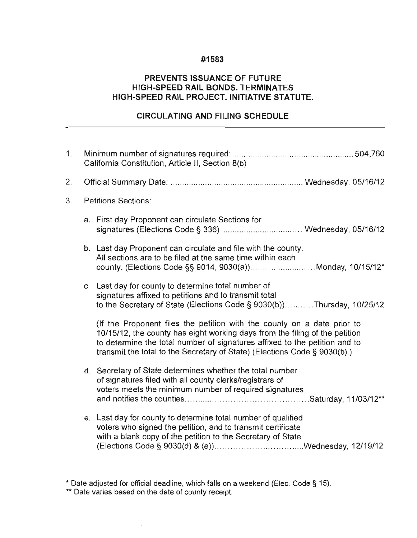#### #1583

### PREVENTS ISSUANCE OF FUTURE HIGH-SPEED RAIL BONDS. TERMINATES HIGH-SPEED RAIL PROJECT. INITIATIVE STATUTE.

## CIRCULATING AND FILING SCHEDULE

| 1. | California Constitution, Article II, Section 8(b) |                                                                                                                                                                                                                                                                                                                   |  |  |
|----|---------------------------------------------------|-------------------------------------------------------------------------------------------------------------------------------------------------------------------------------------------------------------------------------------------------------------------------------------------------------------------|--|--|
| 2. |                                                   |                                                                                                                                                                                                                                                                                                                   |  |  |
| 3. |                                                   | <b>Petitions Sections:</b>                                                                                                                                                                                                                                                                                        |  |  |
|    |                                                   | a. First day Proponent can circulate Sections for                                                                                                                                                                                                                                                                 |  |  |
|    |                                                   | b. Last day Proponent can circulate and file with the county.<br>All sections are to be filed at the same time within each                                                                                                                                                                                        |  |  |
|    |                                                   | c. Last day for county to determine total number of<br>signatures affixed to petitions and to transmit total<br>to the Secretary of State (Elections Code § 9030(b))Thursday, 10/25/12                                                                                                                            |  |  |
|    |                                                   | (If the Proponent files the petition with the county on a date prior to<br>10/15/12, the county has eight working days from the filing of the petition<br>to determine the total number of signatures affixed to the petition and to<br>transmit the total to the Secretary of State) (Elections Code § 9030(b).) |  |  |
|    |                                                   | d. Secretary of State determines whether the total number<br>of signatures filed with all county clerks/registrars of<br>voters meets the minimum number of required signatures                                                                                                                                   |  |  |
|    |                                                   | e. Last day for county to determine total number of qualified<br>voters who signed the petition, and to transmit certificate<br>with a blank copy of the petition to the Secretary of State                                                                                                                       |  |  |

 $\overline{\phantom{a}}$ 

**<sup>&</sup>quot; Date adjusted for official deadline, which falls on a weekend (Elee. Code § 15).** 

**<sup>\*\*</sup> Date varies based on the date of county receipt.**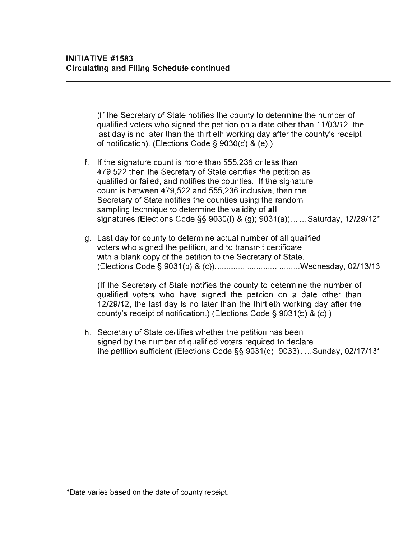(If the Secretary of State notifies the county to determine the number of qualified voters who signed the petition on a date other than·11/03/12, the last day is no later than the thirtieth working day after the county's receipt of notification). (Elections Code § 9030(d) & (e).)

- f. If the signature count is more than 555,236 or less than 479,522 then the Secretary of State certifies the petition as qualified or failed, and notifies the counties. If the signature count is between 479,522 and 555,236 inclusive, then the **Secretary of State notifies the counties using the random**  sampling technique to determine the validity of all signatures (Elections Code §§ 9030(f) & (g); 9031(a))......Saturday, 12/29/12\*
- g. Last day for county to determine actual number of all qualified **voters who signed the petition, and to transmit certificate**  with a blank copy of the petition to the Secretary of State. (Elections Code § 9031(b) & (c)) .................................... Wednesday, 02/13/13

(If the Secretary of State notifies the county to determine the number of qualified voters who have signed the petition on a date other than 12/29/12, the last day is no later than the thirtieth working day after the county's receipt of notification.) (Elections Code § 9031(b) & (c).)

h. Secretary of State certifies whether the petition has been signed by the number of qualified voters required to declare the petition sufficient (Elections Code §§ 9031(d), 9033) . ... Sunday, 02/17/13"

**<sup>\*</sup>Date varies based on the date of county receipt.**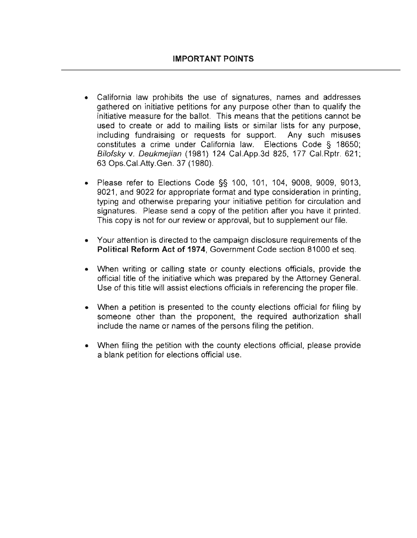- California law prohibits the use of signatures, names and addresses gathered on initiative petitions for any purpose other than to qualify the **initiative measure for the ballot. This means that the petitions cannot be used to create or add to mailing lists or similar lists for any purpose,**  including fundraising or requests for support. Any such misuses constitutes a crime under California law. Elections Code § 18650; Bilofsky v. Deukmejian (1981) 124 Cal.App.3d 825, 177 Cal.Rptr. 621 ; 63 Ops.CaI.Atty.Gen. 37 (1980).
- Please refer to Elections Code §§ 100, 101, 104, 9008, 9009, 9013, 9021, and 9022 for appropriate format and type consideration in printing , typing and otherwise preparing your initiative petition for circulation and **signatures. Please send a copy of the petition after you have it printed.**  This copy is not for our review or approval, but to supplement our file.
- **Your attention is directed to the campaign disclosure requirements of the**  Political Reform Act of 1974, Government Code section 81000 et seq.
- When writing or calling state or county elections officials, provide the official title of the initiative which was prepared by the Attorney General. Use of this title will assist elections officials in referencing the proper file.
- When a petition is presented to the county elections official for filing by someone other than the proponent, the required authorization shall **include the name or names of the persons filing the petition.**
- When filing the petition with the county elections official, please provide a blank petition for elections official use.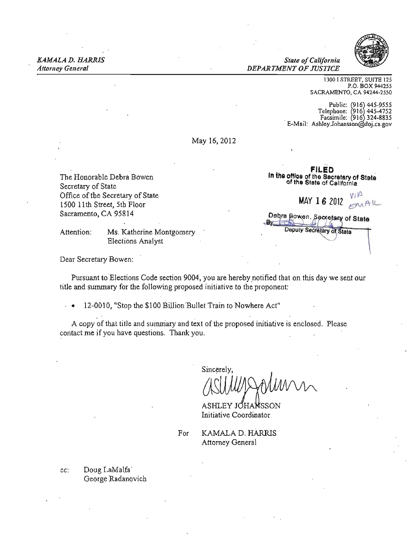*Attomey General DEPARTMENT OF JUSTICE* 



1300 I STREET, SUITE 125 P.O. BOX 944255 SACRAMENTO, CA 94244-2550

Public: (916) 445-9555<br>Telephone: (916) 445-4752 Facsimile: (916) 324-8835<br>E-Mail: AshleyJohansson@doi.ca.gov

May 16,2012

of the Secretary of State<br>Secretary of State of California Office of the Secretary of State 1500 11th Street, 5th Floor Sacramento, CA 95814

Attention: Ms. Katherine Montgomery Elections Analyst

FILED The Honorable Debra Bowen **In the office of the Secretary of State**  $\frac{1}{2}$   $\frac{1}{2}$   $\frac{1}{2}$   $\frac{1}{2}$   $\frac{1}{2}$   $\frac{1}{2}$   $\frac{1}{2}$   $\frac{1}{2}$   $\frac{1}{2}$   $\frac{1}{2}$   $\frac{1}{2}$   $\frac{1}{2}$   $\frac{1}{2}$   $\frac{1}{2}$   $\frac{1}{2}$   $\frac{1}{2}$   $\frac{1}{2}$   $\frac{1}{2}$   $\frac{1}{2}$   $\frac{1}{2}$   $\frac{1}{2}$   $\frac{1}{2}$   $MAY$  16 2012  $MAY$ <sup>1</sup> Debra Bowen, Secretary of State Deputy Secretary of State

Dear Secretary Bowen:

Pursuant to Elections Code section 9004, you are hereby notified that on this day we sent our title and summary for the following proposed initiative to the proponent:

• 12-0010, "Stop the \$100 Biliion'Bullet Train to Nowhere Act"

A copy of that title and summary and text of the proposed initiative is enclosed. Please contact me if you have questions. Thank you.

Sincerely,  $^{\prime}$  AN 1/W/L

ASHLEY JOHANSSON Initiative Coordinator

For KAMALA D. HARRIS Attorney General

cc: Doug LaMalfa' George Radanovich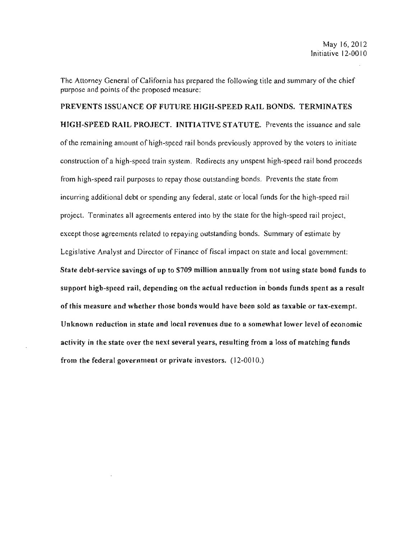The Attorney General of California has prepared the following title and summary of the chief purpose and points of the proposed measure:

PREVENTS ISSUANCE OF FUTURE HIGH-SPEED RAIL BONDS. TERMINATES HIGH-SPEED RAIL PROJECT. INITIATIVE STATUTE. Prevents the issuance and sale of the remaining amount of high-speed rail bonds previously approved by the voters to initiate construction of a high-speed train system. Redirects any unspent high-speed rail bond proceeds from high-speed rail purposes to repay those outstanding bonds. Prevents the state from incurring additional debt or spending any federal, state or local funds for the high-speed rail project. Terminates all agreements entered into by the state for the high-speed rail project, except those agreements related to repaying outstanding bonds. Summary of estimate by Legislative Analyst and Director of Finance of fiscal impact on state and local government: State debt-service savings of up to \$709 million annually from not using state bond funds to support high-speed rail, depending on the actual reduction in bonds funds spent as a result of this measure and whether those bonds would have been sold as taxable or tax-exempt. Unknown reduction in state and local revenues due to a somewhat lower level of economic activity in the state over the next several years, resulting from a loss of matching funds from the federal government or private investors.  $(12{\text -}0010.)$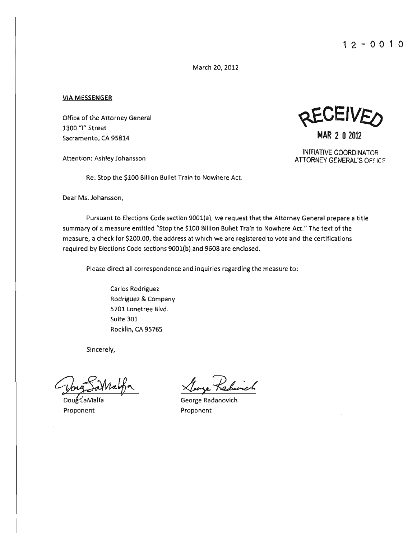March 20, 2012

#### VIA MESSENGER

Office of the Attorney General 1300 "I" Street  $S_3$ Sacramento, CA 95814 MAR 2 0 2012

Re: Stop the \$100 Billion Bullet Train to Nowhere Act.

Dear Ms. Johansson,

Pursuant to Elections Code section 900l(a), we request that the Attorney General prepare a title summary of a measure entitled "Stop the \$100 Billion Bullet Train to Nowhere Act." The text of the measure, a check for \$200.00, the address at which we are registered to vote and the certifications required by Elections Code sections 9001(b) and 9608 are enclosed.

Please direct all correspondence and inquiries regarding the measure to:

Carlos Rodriguez Rodriguez & Company 5701 Lonetree Blvd. Suite 301 Rocklin, CA 95765

Sincerely,

Voug Sallaufor Lurye Radam<br>Doubla Malfa George Radanovich

Proponent Proponent



INITIATIVE COORDINATOR Attention: Ashley Johansson ATTORNEY GENERAL'S OFFICE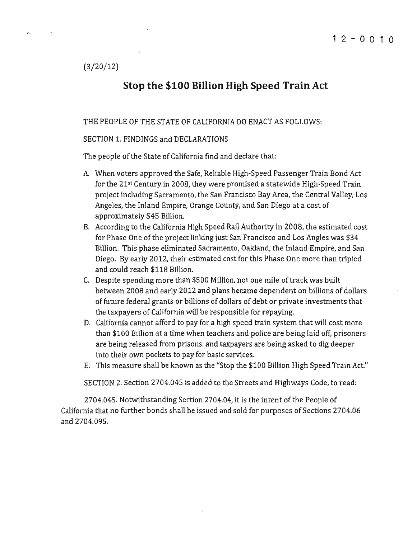(3/20/12)

# Stop the \$100 Billion High Speed Train Act

THE PEOPLE OF THE STATE OF CALIFORNIA DO ENACT AS FOLLOWS:

#### SECTION 1. FINDINGS and DECLARATIONS

The people of the State of California find and declare that:

- A. When voters approved the Safe. Reliable High-Speed Passenger Train Bond Act for the 21st Century in 2008, they were promised a statewide High-Speed Train project including Sacramento, the San Francisco Bay Area, the Central Valley, Los Angeles, the Inland Empire, Orange County, and San Diego at a cost of approximately \$45 Billion.
- B. According to the California High Speed Rail Authority in 2008, the estimated cost for Phase One of the project linking just San Francisco and Los Angles was \$34 Billion, This phase eliminated Sacramento, Oakland, the Inland Empire, and San Diego. By early 2012, their estimated cost for this Phase One more than tripled and could reach \$118 Billion.
- C. Despite spending more than \$500 Million, not one mile of track was built between 2008 and early 2012 and plans became dependent on billions of dollars of future federal grants or billions of dollars of debt or private investments that the taxpayers of California will be responsible for repaying,
- D. California cannot afford to pay for a high speed train system that will cost more than \$100 Billion at a time when teachers and police are being laid off, prisoners are being released from prisons, and taxpayers are being asked to dig deeper into their own pockets to pay for basic services,
- E. This measure shall be known as the "Stop the \$100 Billion High Speed Train Act."

SECTION 2. Section 2704.045 is added to the Streets and Highways Code, to read:

2704.045. Notwithstanding Section 2704.04, it is the intent of the People of California that no further bonds shall be issued and sold for purposes of Sections 2704.06 and 2704.095.